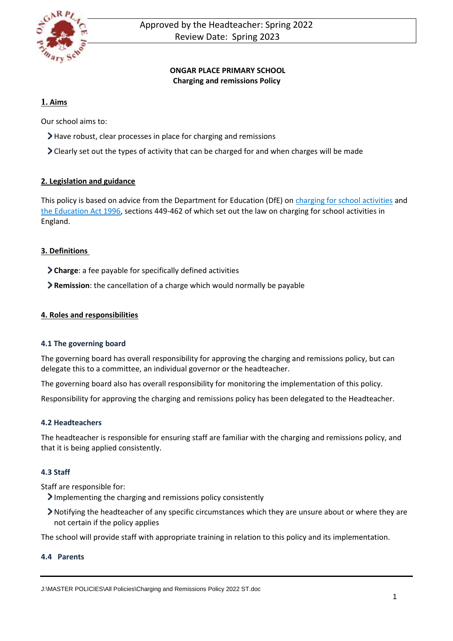

# **ONGAR PLACE PRIMARY SCHOOL Charging and remissions Policy**

# **1. Aims**

Our school aims to:

- Have robust, clear processes in place for charging and remissions
- Clearly set out the types of activity that can be charged for and when charges will be made

## **2. Legislation and guidance**

This policy is based on advice from the Department for Education (DfE) o[n charging for school activities](https://www.gov.uk/government/publications/charging-for-school-activities) and [the Education Act 1996,](http://www.legislation.gov.uk/ukpga/1996/56/part/VI/chapter/III) sections 449-462 of which set out the law on charging for school activities in England.

## **3. Definitions**

- **Charge**: a fee payable for specifically defined activities
- **Remission**: the cancellation of a charge which would normally be payable

## **4. Roles and responsibilities**

## **4.1 The governing board**

The governing board has overall responsibility for approving the charging and remissions policy, but can delegate this to a committee, an individual governor or the headteacher.

The governing board also has overall responsibility for monitoring the implementation of this policy.

Responsibility for approving the charging and remissions policy has been delegated to the Headteacher.

## **4.2 Headteachers**

The headteacher is responsible for ensuring staff are familiar with the charging and remissions policy, and that it is being applied consistently.

## **4.3 Staff**

Staff are responsible for:

- Implementing the charging and remissions policy consistently
- Notifying the headteacher of any specific circumstances which they are unsure about or where they are not certain if the policy applies

The school will provide staff with appropriate training in relation to this policy and its implementation.

## **4.4 Parents**

J:\MASTER POLICIES\All Policies\Charging and Remissions Policy 2022 ST.doc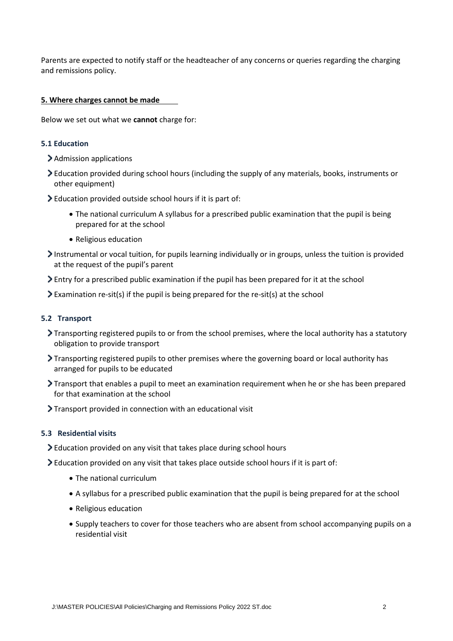Parents are expected to notify staff or the headteacher of any concerns or queries regarding the charging and remissions policy.

#### **5. Where charges cannot be made**

Below we set out what we **cannot** charge for:

#### **5.1 Education**

- > Admission applications
- Education provided during school hours (including the supply of any materials, books, instruments or other equipment)
- Education provided outside school hours if it is part of:
	- The national curriculum A syllabus for a prescribed public examination that the pupil is being prepared for at the school
	- Religious education
- Instrumental or vocal tuition, for pupils learning individually or in groups, unless the tuition is provided at the request of the pupil's parent
- Entry for a prescribed public examination if the pupil has been prepared for it at the school
- Examination re-sit(s) if the pupil is being prepared for the re-sit(s) at the school

#### **5.2 Transport**

- Transporting registered pupils to or from the school premises, where the local authority has a statutory obligation to provide transport
- Transporting registered pupils to other premises where the governing board or local authority has arranged for pupils to be educated
- Transport that enables a pupil to meet an examination requirement when he or she has been prepared for that examination at the school
- > Transport provided in connection with an educational visit

#### **5.3 Residential visits**

- Education provided on any visit that takes place during school hours
- Education provided on any visit that takes place outside school hours if it is part of:
	- The national curriculum
	- A syllabus for a prescribed public examination that the pupil is being prepared for at the school
	- Religious education
	- Supply teachers to cover for those teachers who are absent from school accompanying pupils on a residential visit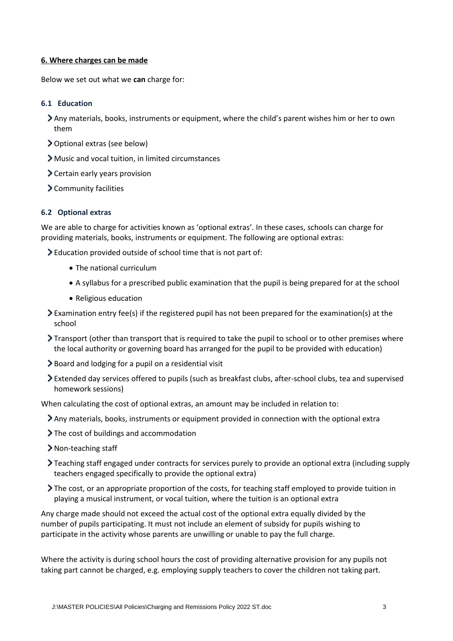#### **6. Where charges can be made**

Below we set out what we **can** charge for:

#### **6.1 Education**

- Any materials, books, instruments or equipment, where the child's parent wishes him or her to own them
- Optional extras (see below)
- Music and vocal tuition, in limited circumstances
- Certain early years provision
- Community facilities

#### **6.2 Optional extras**

We are able to charge for activities known as 'optional extras'. In these cases, schools can charge for providing materials, books, instruments or equipment. The following are optional extras:

Education provided outside of school time that is not part of:

- The national curriculum
- A syllabus for a prescribed public examination that the pupil is being prepared for at the school
- Religious education
- Examination entry fee(s) if the registered pupil has not been prepared for the examination(s) at the school
- Transport (other than transport that is required to take the pupil to school or to other premises where the local authority or governing board has arranged for the pupil to be provided with education)
- Board and lodging for a pupil on a residential visit
- Extended day services offered to pupils (such as breakfast clubs, after-school clubs, tea and supervised homework sessions)

When calculating the cost of optional extras, an amount may be included in relation to:

- Any materials, books, instruments or equipment provided in connection with the optional extra
- The cost of buildings and accommodation
- > Non-teaching staff
- Teaching staff engaged under contracts for services purely to provide an optional extra (including supply teachers engaged specifically to provide the optional extra)
- The cost, or an appropriate proportion of the costs, for teaching staff employed to provide tuition in playing a musical instrument, or vocal tuition, where the tuition is an optional extra

Any charge made should not exceed the actual cost of the optional extra equally divided by the number of pupils participating. It must not include an element of subsidy for pupils wishing to participate in the activity whose parents are unwilling or unable to pay the full charge.

Where the activity is during school hours the cost of providing alternative provision for any pupils not taking part cannot be charged, e.g. employing supply teachers to cover the children not taking part.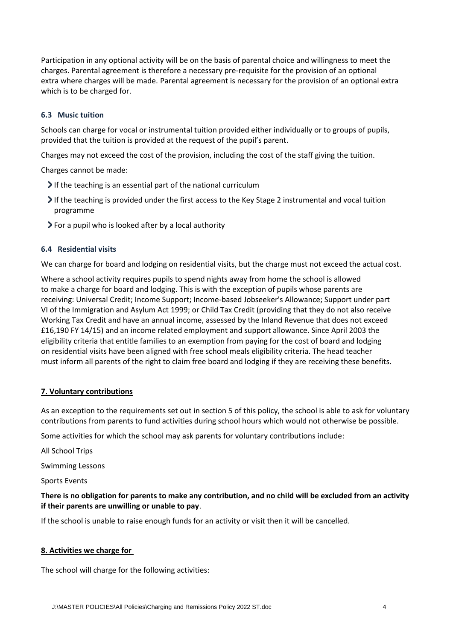Participation in any optional activity will be on the basis of parental choice and willingness to meet the charges. Parental agreement is therefore a necessary pre-requisite for the provision of an optional extra where charges will be made. Parental agreement is necessary for the provision of an optional extra which is to be charged for.

### **6.3 Music tuition**

Schools can charge for vocal or instrumental tuition provided either individually or to groups of pupils, provided that the tuition is provided at the request of the pupil's parent.

Charges may not exceed the cost of the provision, including the cost of the staff giving the tuition.

Charges cannot be made:

- If the teaching is an essential part of the national curriculum
- If the teaching is provided under the first access to the Key Stage 2 instrumental and vocal tuition programme
- For a pupil who is looked after by a local authority

## **6.4 Residential visits**

We can charge for board and lodging on residential visits, but the charge must not exceed the actual cost.

Where a school activity requires pupils to spend nights away from home the school is allowed to make a charge for board and lodging. This is with the exception of pupils whose parents are receiving: Universal Credit; Income Support; Income-based Jobseeker's Allowance; Support under part VI of the Immigration and Asylum Act 1999; or Child Tax Credit (providing that they do not also receive Working Tax Credit and have an annual income, assessed by the Inland Revenue that does not exceed £16,190 FY 14/15) and an income related employment and support allowance. Since April 2003 the eligibility criteria that entitle families to an exemption from paying for the cost of board and lodging on residential visits have been aligned with free school meals eligibility criteria. The head teacher must inform all parents of the right to claim free board and lodging if they are receiving these benefits.

#### **7. Voluntary contributions**

As an exception to the requirements set out in section 5 of this policy, the school is able to ask for voluntary contributions from parents to fund activities during school hours which would not otherwise be possible.

Some activities for which the school may ask parents for voluntary contributions include:

All School Trips

Swimming Lessons

Sports Events

### **There is no obligation for parents to make any contribution, and no child will be excluded from an activity if their parents are unwilling or unable to pay**.

If the school is unable to raise enough funds for an activity or visit then it will be cancelled.

#### **8. Activities we charge for**

The school will charge for the following activities: